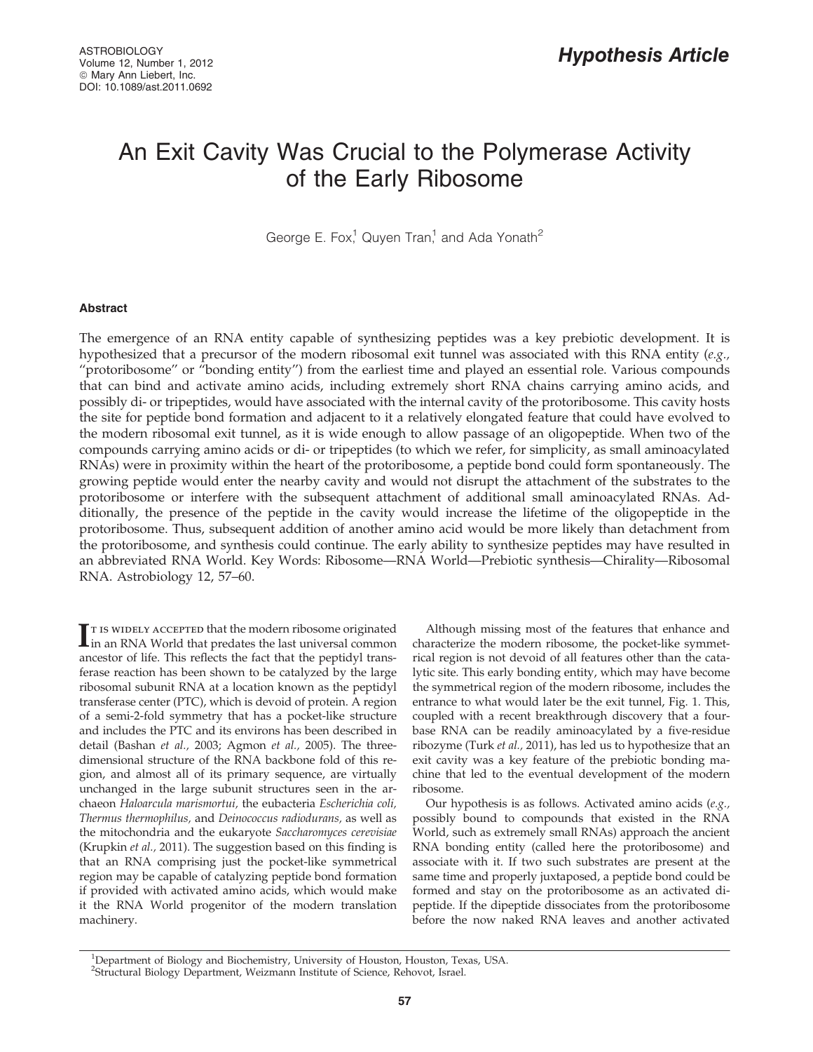# An Exit Cavity Was Crucial to the Polymerase Activity of the Early Ribosome

George E. Fox,<sup>1</sup> Quyen Tran,<sup>1</sup> and Ada Yonath<sup>2</sup>

# Abstract

The emergence of an RNA entity capable of synthesizing peptides was a key prebiotic development. It is hypothesized that a precursor of the modern ribosomal exit tunnel was associated with this RNA entity (e.g., ''protoribosome'' or ''bonding entity'') from the earliest time and played an essential role. Various compounds that can bind and activate amino acids, including extremely short RNA chains carrying amino acids, and possibly di- or tripeptides, would have associated with the internal cavity of the protoribosome. This cavity hosts the site for peptide bond formation and adjacent to it a relatively elongated feature that could have evolved to the modern ribosomal exit tunnel, as it is wide enough to allow passage of an oligopeptide. When two of the compounds carrying amino acids or di- or tripeptides (to which we refer, for simplicity, as small aminoacylated RNAs) were in proximity within the heart of the protoribosome, a peptide bond could form spontaneously. The growing peptide would enter the nearby cavity and would not disrupt the attachment of the substrates to the protoribosome or interfere with the subsequent attachment of additional small aminoacylated RNAs. Additionally, the presence of the peptide in the cavity would increase the lifetime of the oligopeptide in the protoribosome. Thus, subsequent addition of another amino acid would be more likely than detachment from the protoribosome, and synthesis could continue. The early ability to synthesize peptides may have resulted in an abbreviated RNA World. Key Words: Ribosome—RNA World—Prebiotic synthesis—Chirality—Ribosomal RNA. Astrobiology 12, 57–60.

I I Is WIDELY ACCEPTED that the modern ribosome originated<br>in an RNA World that predates the last universal common T IS WIDELY ACCEPTED that the modern ribosome originated ancestor of life. This reflects the fact that the peptidyl transferase reaction has been shown to be catalyzed by the large ribosomal subunit RNA at a location known as the peptidyl transferase center (PTC), which is devoid of protein. A region of a semi-2-fold symmetry that has a pocket-like structure and includes the PTC and its environs has been described in detail (Bashan et al., 2003; Agmon et al., 2005). The threedimensional structure of the RNA backbone fold of this region, and almost all of its primary sequence, are virtually unchanged in the large subunit structures seen in the archaeon Haloarcula marismortui, the eubacteria Escherichia coli, Thermus thermophilus, and Deinococcus radiodurans, as well as the mitochondria and the eukaryote Saccharomyces cerevisiae (Krupkin et al., 2011). The suggestion based on this finding is that an RNA comprising just the pocket-like symmetrical region may be capable of catalyzing peptide bond formation if provided with activated amino acids, which would make it the RNA World progenitor of the modern translation machinery.

Although missing most of the features that enhance and characterize the modern ribosome, the pocket-like symmetrical region is not devoid of all features other than the catalytic site. This early bonding entity, which may have become the symmetrical region of the modern ribosome, includes the entrance to what would later be the exit tunnel, Fig. 1. This, coupled with a recent breakthrough discovery that a fourbase RNA can be readily aminoacylated by a five-residue ribozyme (Turk et al., 2011), has led us to hypothesize that an exit cavity was a key feature of the prebiotic bonding machine that led to the eventual development of the modern ribosome.

Our hypothesis is as follows. Activated amino acids (e.g., possibly bound to compounds that existed in the RNA World, such as extremely small RNAs) approach the ancient RNA bonding entity (called here the protoribosome) and associate with it. If two such substrates are present at the same time and properly juxtaposed, a peptide bond could be formed and stay on the protoribosome as an activated dipeptide. If the dipeptide dissociates from the protoribosome before the now naked RNA leaves and another activated

<sup>&</sup>lt;sup>1</sup>Department of Biology and Biochemistry, University of Houston, Houston, Texas, USA. <sup>2</sup>Structural Biology Department, Weizmann Institute of Science, Rehovot, Israel.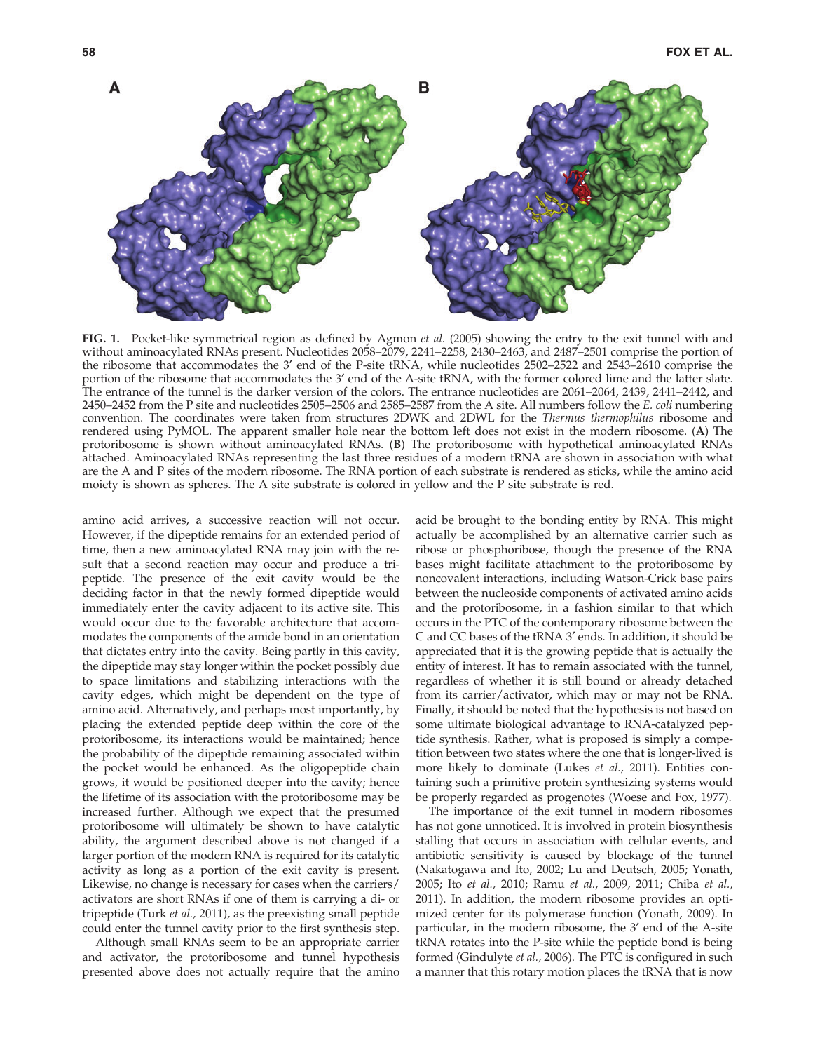

FIG. 1. Pocket-like symmetrical region as defined by Agmon et al. (2005) showing the entry to the exit tunnel with and without aminoacylated RNAs present. Nucleotides 2058–2079, 2241–2258, 2430–2463, and 2487–2501 comprise the portion of the ribosome that accommodates the 3' end of the P-site tRNA, while nucleotides 2502-2522 and 2543-2610 comprise the portion of the ribosome that accommodates the 3' end of the A-site tRNA, with the former colored lime and the latter slate. The entrance of the tunnel is the darker version of the colors. The entrance nucleotides are 2061–2064, 2439, 2441–2442, and 2450–2452 from the P site and nucleotides 2505–2506 and 2585–2587 from the A site. All numbers follow the E. coli numbering convention. The coordinates were taken from structures 2DWK and 2DWL for the Thermus thermophilus ribosome and rendered using PyMOL. The apparent smaller hole near the bottom left does not exist in the modern ribosome. (A) The protoribosome is shown without aminoacylated RNAs. (B) The protoribosome with hypothetical aminoacylated RNAs attached. Aminoacylated RNAs representing the last three residues of a modern tRNA are shown in association with what are the A and P sites of the modern ribosome. The RNA portion of each substrate is rendered as sticks, while the amino acid moiety is shown as spheres. The A site substrate is colored in yellow and the P site substrate is red.

amino acid arrives, a successive reaction will not occur. However, if the dipeptide remains for an extended period of time, then a new aminoacylated RNA may join with the result that a second reaction may occur and produce a tripeptide. The presence of the exit cavity would be the deciding factor in that the newly formed dipeptide would immediately enter the cavity adjacent to its active site. This would occur due to the favorable architecture that accommodates the components of the amide bond in an orientation that dictates entry into the cavity. Being partly in this cavity, the dipeptide may stay longer within the pocket possibly due to space limitations and stabilizing interactions with the cavity edges, which might be dependent on the type of amino acid. Alternatively, and perhaps most importantly, by placing the extended peptide deep within the core of the protoribosome, its interactions would be maintained; hence the probability of the dipeptide remaining associated within the pocket would be enhanced. As the oligopeptide chain grows, it would be positioned deeper into the cavity; hence the lifetime of its association with the protoribosome may be increased further. Although we expect that the presumed protoribosome will ultimately be shown to have catalytic ability, the argument described above is not changed if a larger portion of the modern RNA is required for its catalytic activity as long as a portion of the exit cavity is present. Likewise, no change is necessary for cases when the carriers/ activators are short RNAs if one of them is carrying a di- or tripeptide (Turk et al., 2011), as the preexisting small peptide could enter the tunnel cavity prior to the first synthesis step.

Although small RNAs seem to be an appropriate carrier and activator, the protoribosome and tunnel hypothesis presented above does not actually require that the amino acid be brought to the bonding entity by RNA. This might actually be accomplished by an alternative carrier such as ribose or phosphoribose, though the presence of the RNA bases might facilitate attachment to the protoribosome by noncovalent interactions, including Watson-Crick base pairs between the nucleoside components of activated amino acids and the protoribosome, in a fashion similar to that which occurs in the PTC of the contemporary ribosome between the C and CC bases of the tRNA 3' ends. In addition, it should be appreciated that it is the growing peptide that is actually the entity of interest. It has to remain associated with the tunnel, regardless of whether it is still bound or already detached from its carrier/activator, which may or may not be RNA. Finally, it should be noted that the hypothesis is not based on some ultimate biological advantage to RNA-catalyzed peptide synthesis. Rather, what is proposed is simply a competition between two states where the one that is longer-lived is more likely to dominate (Lukes et al., 2011). Entities containing such a primitive protein synthesizing systems would be properly regarded as progenotes (Woese and Fox, 1977).

The importance of the exit tunnel in modern ribosomes has not gone unnoticed. It is involved in protein biosynthesis stalling that occurs in association with cellular events, and antibiotic sensitivity is caused by blockage of the tunnel (Nakatogawa and Ito, 2002; Lu and Deutsch, 2005; Yonath, 2005; Ito et al., 2010; Ramu et al., 2009, 2011; Chiba et al., 2011). In addition, the modern ribosome provides an optimized center for its polymerase function (Yonath, 2009). In particular, in the modern ribosome, the 3' end of the A-site tRNA rotates into the P-site while the peptide bond is being formed (Gindulyte et al., 2006). The PTC is configured in such a manner that this rotary motion places the tRNA that is now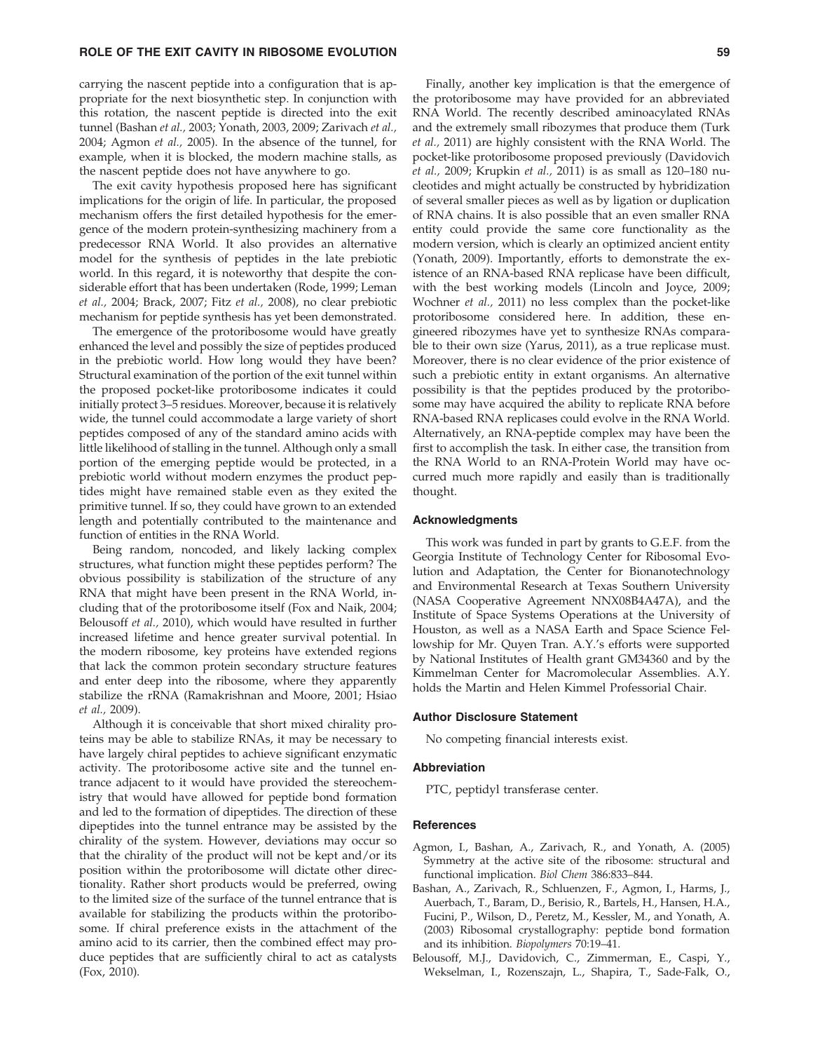# ROLE OF THE EXIT CAVITY IN RIBOSOME EVOLUTION **FOLLUTION** 59

carrying the nascent peptide into a configuration that is appropriate for the next biosynthetic step. In conjunction with this rotation, the nascent peptide is directed into the exit tunnel (Bashan et al., 2003; Yonath, 2003, 2009; Zarivach et al., 2004; Agmon et al., 2005). In the absence of the tunnel, for example, when it is blocked, the modern machine stalls, as the nascent peptide does not have anywhere to go.

The exit cavity hypothesis proposed here has significant implications for the origin of life. In particular, the proposed mechanism offers the first detailed hypothesis for the emergence of the modern protein-synthesizing machinery from a predecessor RNA World. It also provides an alternative model for the synthesis of peptides in the late prebiotic world. In this regard, it is noteworthy that despite the considerable effort that has been undertaken (Rode, 1999; Leman et al., 2004; Brack, 2007; Fitz et al., 2008), no clear prebiotic mechanism for peptide synthesis has yet been demonstrated.

The emergence of the protoribosome would have greatly enhanced the level and possibly the size of peptides produced in the prebiotic world. How long would they have been? Structural examination of the portion of the exit tunnel within the proposed pocket-like protoribosome indicates it could initially protect 3–5 residues. Moreover, because it is relatively wide, the tunnel could accommodate a large variety of short peptides composed of any of the standard amino acids with little likelihood of stalling in the tunnel. Although only a small portion of the emerging peptide would be protected, in a prebiotic world without modern enzymes the product peptides might have remained stable even as they exited the primitive tunnel. If so, they could have grown to an extended length and potentially contributed to the maintenance and function of entities in the RNA World.

Being random, noncoded, and likely lacking complex structures, what function might these peptides perform? The obvious possibility is stabilization of the structure of any RNA that might have been present in the RNA World, including that of the protoribosome itself (Fox and Naik, 2004; Belousoff et al., 2010), which would have resulted in further increased lifetime and hence greater survival potential. In the modern ribosome, key proteins have extended regions that lack the common protein secondary structure features and enter deep into the ribosome, where they apparently stabilize the rRNA (Ramakrishnan and Moore, 2001; Hsiao et al., 2009).

Although it is conceivable that short mixed chirality proteins may be able to stabilize RNAs, it may be necessary to have largely chiral peptides to achieve significant enzymatic activity. The protoribosome active site and the tunnel entrance adjacent to it would have provided the stereochemistry that would have allowed for peptide bond formation and led to the formation of dipeptides. The direction of these dipeptides into the tunnel entrance may be assisted by the chirality of the system. However, deviations may occur so that the chirality of the product will not be kept and/or its position within the protoribosome will dictate other directionality. Rather short products would be preferred, owing to the limited size of the surface of the tunnel entrance that is available for stabilizing the products within the protoribosome. If chiral preference exists in the attachment of the amino acid to its carrier, then the combined effect may produce peptides that are sufficiently chiral to act as catalysts (Fox, 2010).

Finally, another key implication is that the emergence of the protoribosome may have provided for an abbreviated RNA World. The recently described aminoacylated RNAs and the extremely small ribozymes that produce them (Turk et al., 2011) are highly consistent with the RNA World. The pocket-like protoribosome proposed previously (Davidovich et al., 2009; Krupkin et al., 2011) is as small as 120–180 nucleotides and might actually be constructed by hybridization of several smaller pieces as well as by ligation or duplication of RNA chains. It is also possible that an even smaller RNA entity could provide the same core functionality as the modern version, which is clearly an optimized ancient entity (Yonath, 2009). Importantly, efforts to demonstrate the existence of an RNA-based RNA replicase have been difficult, with the best working models (Lincoln and Joyce, 2009; Wochner et al., 2011) no less complex than the pocket-like protoribosome considered here. In addition, these engineered ribozymes have yet to synthesize RNAs comparable to their own size (Yarus, 2011), as a true replicase must. Moreover, there is no clear evidence of the prior existence of such a prebiotic entity in extant organisms. An alternative possibility is that the peptides produced by the protoribosome may have acquired the ability to replicate RNA before RNA-based RNA replicases could evolve in the RNA World. Alternatively, an RNA-peptide complex may have been the first to accomplish the task. In either case, the transition from the RNA World to an RNA-Protein World may have occurred much more rapidly and easily than is traditionally thought.

#### Acknowledgments

This work was funded in part by grants to G.E.F. from the Georgia Institute of Technology Center for Ribosomal Evolution and Adaptation, the Center for Bionanotechnology and Environmental Research at Texas Southern University (NASA Cooperative Agreement NNX08B4A47A), and the Institute of Space Systems Operations at the University of Houston, as well as a NASA Earth and Space Science Fellowship for Mr. Quyen Tran. A.Y.'s efforts were supported by National Institutes of Health grant GM34360 and by the Kimmelman Center for Macromolecular Assemblies. A.Y. holds the Martin and Helen Kimmel Professorial Chair.

## Author Disclosure Statement

No competing financial interests exist.

### Abbreviation

PTC, peptidyl transferase center.

# **References**

- Agmon, I., Bashan, A., Zarivach, R., and Yonath, A. (2005) Symmetry at the active site of the ribosome: structural and functional implication. Biol Chem 386:833–844.
- Bashan, A., Zarivach, R., Schluenzen, F., Agmon, I., Harms, J., Auerbach, T., Baram, D., Berisio, R., Bartels, H., Hansen, H.A., Fucini, P., Wilson, D., Peretz, M., Kessler, M., and Yonath, A. (2003) Ribosomal crystallography: peptide bond formation and its inhibition. Biopolymers 70:19–41.
- Belousoff, M.J., Davidovich, C., Zimmerman, E., Caspi, Y., Wekselman, I., Rozenszajn, L., Shapira, T., Sade-Falk, O.,